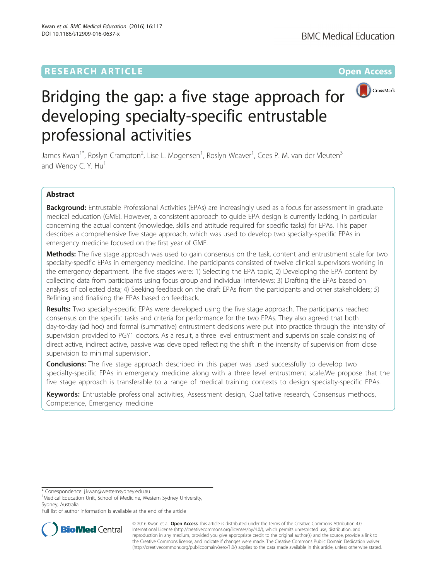# **RESEARCH ARTICLE Example 2014 12:30 The Contract of Contract ACCESS**



# Bridging the gap: a five stage approach for developing specialty-specific entrustable professional activities

James Kwan<sup>1\*</sup>, Roslyn Crampton<sup>2</sup>, Lise L. Mogensen<sup>1</sup>, Roslyn Weaver<sup>1</sup>, Cees P. M. van der Vleuten<sup>3</sup> and Wendy C. Y.  $Hu<sup>1</sup>$ 

# Abstract

Background: Entrustable Professional Activities (EPAs) are increasingly used as a focus for assessment in graduate medical education (GME). However, a consistent approach to guide EPA design is currently lacking, in particular concerning the actual content (knowledge, skills and attitude required for specific tasks) for EPAs. This paper describes a comprehensive five stage approach, which was used to develop two specialty-specific EPAs in emergency medicine focused on the first year of GME.

Methods: The five stage approach was used to gain consensus on the task, content and entrustment scale for two specialty-specific EPAs in emergency medicine. The participants consisted of twelve clinical supervisors working in the emergency department. The five stages were: 1) Selecting the EPA topic; 2) Developing the EPA content by collecting data from participants using focus group and individual interviews; 3) Drafting the EPAs based on analysis of collected data; 4) Seeking feedback on the draft EPAs from the participants and other stakeholders; 5) Refining and finalising the EPAs based on feedback.

Results: Two specialty-specific EPAs were developed using the five stage approach. The participants reached consensus on the specific tasks and criteria for performance for the two EPAs. They also agreed that both day-to-day (ad hoc) and formal (summative) entrustment decisions were put into practice through the intensity of supervision provided to PGY1 doctors. As a result, a three level entrustment and supervision scale consisting of direct active, indirect active, passive was developed reflecting the shift in the intensity of supervision from close supervision to minimal supervision.

**Conclusions:** The five stage approach described in this paper was used successfully to develop two specialty-specific EPAs in emergency medicine along with a three level entrustment scale.We propose that the five stage approach is transferable to a range of medical training contexts to design specialty-specific EPAs.

Keywords: Entrustable professional activities, Assessment design, Qualitative research, Consensus methods, Competence, Emergency medicine

\* Correspondence: [j.kwan@westernsydney.edu.au](mailto:j.kwan@westernsydney.edu.au) <sup>1</sup>

Full list of author information is available at the end of the article



© 2016 Kwan et al. Open Access This article is distributed under the terms of the Creative Commons Attribution 4.0 International License [\(http://creativecommons.org/licenses/by/4.0/](http://creativecommons.org/licenses/by/4.0/)), which permits unrestricted use, distribution, and reproduction in any medium, provided you give appropriate credit to the original author(s) and the source, provide a link to the Creative Commons license, and indicate if changes were made. The Creative Commons Public Domain Dedication waiver [\(http://creativecommons.org/publicdomain/zero/1.0/](http://creativecommons.org/publicdomain/zero/1.0/)) applies to the data made available in this article, unless otherwise stated.

<sup>&</sup>lt;sup>1</sup> Medical Education Unit, School of Medicine, Western Sydney University, Sydney, Australia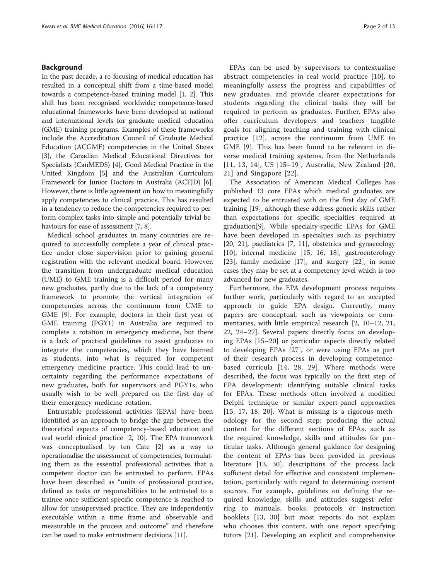# Background

In the past decade, a re-focusing of medical education has resulted in a conceptual shift from a time-based model towards a competence-based training model [\[1](#page-11-0), [2](#page-11-0)]. This shift has been recognised worldwide; competence-based educational frameworks have been developed at national and international levels for graduate medical education (GME) training programs. Examples of these frameworks include the Accreditation Council of Graduate Medical Education (ACGME) competencies in the United States [[3\]](#page-11-0), the Canadian Medical Educational Directives for Specialists (CanMEDS) [[4](#page-11-0)], Good Medical Practice in the United Kingdom [[5](#page-11-0)] and the Australian Curriculum Framework for Junior Doctors in Australia (ACFJD) [[6](#page-11-0)]. However, there is little agreement on how to meaningfully apply competencies to clinical practice. This has resulted in a tendency to reduce the competencies required to perform complex tasks into simple and potentially trivial behaviours for ease of assessment [\[7, 8](#page-11-0)].

Medical school graduates in many countries are required to successfully complete a year of clinical practice under close supervision prior to gaining general registration with the relevant medical board. However, the transition from undergraduate medical education (UME) to GME training is a difficult period for many new graduates, partly due to the lack of a competency framework to promote the vertical integration of competencies across the continuum from UME to GME [\[9](#page-11-0)]. For example, doctors in their first year of GME training (PGY1) in Australia are required to complete a rotation in emergency medicine, but there is a lack of practical guidelines to assist graduates to integrate the competencies, which they have learned as students, into what is required for competent emergency medicine practice. This could lead to uncertainty regarding the performance expectations of new graduates, both for supervisors and PGY1s, who usually wish to be well prepared on the first day of their emergency medicine rotation.

Entrustable professional activities (EPAs) have been identified as an approach to bridge the gap between the theoretical aspects of competency-based education and real world clinical practice [[2, 10\]](#page-11-0). The EPA framework was conceptualised by ten Cate [[2\]](#page-11-0) as a way to operationalise the assessment of competencies, formulating them as the essential professional activities that a competent doctor can be entrusted to perform. EPAs have been described as "units of professional practice, defined as tasks or responsibilities to be entrusted to a trainee once sufficient specific competence is reached to allow for unsupervised practice. They are independently executable within a time frame and observable and measurable in the process and outcome" and therefore can be used to make entrustment decisions [\[11](#page-11-0)].

EPAs can be used by supervisors to contextualise abstract competencies in real world practice [[10\]](#page-11-0), to meaningfully assess the progress and capabilities of new graduates, and provide clearer expectations for students regarding the clinical tasks they will be required to perform as graduates. Further, EPAs also offer curriculum developers and teachers tangible goals for aligning teaching and training with clinical practice [[12](#page-11-0)], across the continuum from UME to GME [[9](#page-11-0)]. This has been found to be relevant in diverse medical training systems, from the Netherlands [[11](#page-11-0), [13, 14](#page-11-0)], US [[15](#page-11-0)–[19](#page-11-0)], Australia, New Zealand [\[20](#page-11-0), [21\]](#page-11-0) and Singapore [[22](#page-11-0)].

The Association of American Medical Colleges has published 13 core EPAs which medical graduates are expected to be entrusted with on the first day of GME training [[19\]](#page-11-0), although these address generic skills rather than expectations for specific specialties required at graduation[[9\]](#page-11-0). While specialty-specific EPAs for GME have been developed in specialties such as psychiatry [[20, 21](#page-11-0)], paediatrics [\[7, 11](#page-11-0)], obstetrics and gynaecology [[10\]](#page-11-0), internal medicine [\[15](#page-11-0), [16](#page-11-0), [18](#page-11-0)], gastroenterology [[23\]](#page-11-0), family medicine [\[17\]](#page-11-0), and surgery [\[22](#page-11-0)], in some cases they may be set at a competency level which is too advanced for new graduates.

Furthermore, the EPA development process requires further work, particularly with regard to an accepted approach to guide EPA design. Currently, many papers are conceptual, such as viewpoints or commentaries, with little empirical research [[2, 10](#page-11-0)–[12](#page-11-0), [21](#page-11-0), [22, 24](#page-11-0)–[27\]](#page-11-0). Several papers directly focus on developing EPAs [[15](#page-11-0)–[20\]](#page-11-0) or particular aspects directly related to developing EPAs [\[27](#page-11-0)], or were using EPAs as part of their research process in developing competencebased curricula [[14, 28, 29\]](#page-11-0). Where methods were described, the focus was typically on the first step of EPA development: identifying suitable clinical tasks for EPAs. These methods often involved a modified Delphi technique or similar expert-panel approaches [[15, 17, 18, 20\]](#page-11-0). What is missing is a rigorous methodology for the second step: producing the actual content for the different sections of EPAs, such as the required knowledge, skills and attitudes for particular tasks. Although general guidance for designing the content of EPAs has been provided in previous literature [[13, 30](#page-11-0)], descriptions of the process lack sufficient detail for effective and consistent implementation, particularly with regard to determining content sources. For example, guidelines on defining the required knowledge, skills and attitudes suggest referring to manuals, books, protocols or instruction booklets [\[13](#page-11-0), [30](#page-11-0)] but most reports do not explain who chooses this content, with one report specifying tutors [[21\]](#page-11-0). Developing an explicit and comprehensive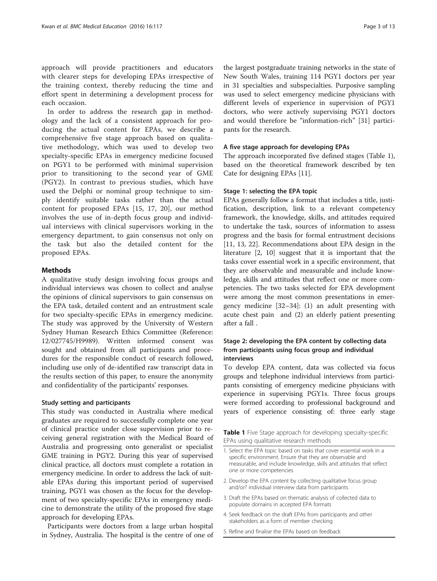approach will provide practitioners and educators with clearer steps for developing EPAs irrespective of the training context, thereby reducing the time and effort spent in determining a development process for each occasion.

In order to address the research gap in methodology and the lack of a consistent approach for producing the actual content for EPAs, we describe a comprehensive five stage approach based on qualitative methodology, which was used to develop two specialty-specific EPAs in emergency medicine focused on PGY1 to be performed with minimal supervision prior to transitioning to the second year of GME (PGY2). In contrast to previous studies, which have used the Delphi or nominal group technique to simply identify suitable tasks rather than the actual content for proposed EPAs [[15](#page-11-0), [17](#page-11-0), [20\]](#page-11-0), our method involves the use of in-depth focus group and individual interviews with clinical supervisors working in the emergency department, to gain consensus not only on the task but also the detailed content for the proposed EPAs.

# **Methods**

A qualitative study design involving focus groups and individual interviews was chosen to collect and analyse the opinions of clinical supervisors to gain consensus on the EPA task, detailed content and an entrustment scale for two specialty-specific EPAs in emergency medicine. The study was approved by the University of Western Sydney Human Research Ethics Committee (Reference: 12/027745/H9989). Written informed consent was sought and obtained from all participants and procedures for the responsible conduct of research followed, including use only of de-identified raw transcript data in the results section of this paper, to ensure the anonymity and confidentiality of the participants' responses.

### Study setting and participants

This study was conducted in Australia where medical graduates are required to successfully complete one year of clinical practice under close supervision prior to receiving general registration with the Medical Board of Australia and progressing onto generalist or specialist GME training in PGY2. During this year of supervised clinical practice, all doctors must complete a rotation in emergency medicine. In order to address the lack of suitable EPAs during this important period of supervised training, PGY1 was chosen as the focus for the development of two specialty-specific EPAs in emergency medicine to demonstrate the utility of the proposed five stage approach for developing EPAs.

Participants were doctors from a large urban hospital in Sydney, Australia. The hospital is the centre of one of

the largest postgraduate training networks in the state of New South Wales, training 114 PGY1 doctors per year in 31 specialties and subspecialties. Purposive sampling was used to select emergency medicine physicians with different levels of experience in supervision of PGY1 doctors, who were actively supervising PGY1 doctors and would therefore be "information-rich" [[31](#page-11-0)] participants for the research.

# A five stage approach for developing EPAs

The approach incorporated five defined stages (Table 1), based on the theoretical framework described by ten Cate for designing EPAs [\[11\]](#page-11-0).

### Stage 1: selecting the EPA topic

EPAs generally follow a format that includes a title, justification, description, link to a relevant competency framework, the knowledge, skills, and attitudes required to undertake the task, sources of information to assess progress and the basis for formal entrustment decisions [[11, 13](#page-11-0), [22\]](#page-11-0). Recommendations about EPA design in the literature [\[2](#page-11-0), [10](#page-11-0)] suggest that it is important that the tasks cover essential work in a specific environment, that they are observable and measurable and include knowledge, skills and attitudes that reflect one or more competencies. The two tasks selected for EPA development were among the most common presentations in emergency medicine [[32](#page-11-0)–[34](#page-12-0)]: (1) an adult presenting with acute chest pain and (2) an elderly patient presenting after a fall .

# Stage 2: developing the EPA content by collecting data from participants using focus group and individual interviews

To develop EPA content, data was collected via focus groups and telephone individual interviews from participants consisting of emergency medicine physicians with experience in supervising PGY1s. Three focus groups were formed according to professional background and years of experience consisting of: three early stage

Table 1 Five Stage approach for developing specialty-specific EPAs using qualitative research methods

- 1. Select the EPA topic based on tasks that cover essential work in a specific environment. Ensure that they are observable and measurable, and include knowledge, skills and attitudes that reflect one or more competencies
- 2. Develop the EPA content by collecting qualitative focus group and/or? individual interview data from participants
- 3. Draft the EPAs based on thematic analysis of collected data to populate domains in accepted EPA formats
- 4. Seek feedback on the draft EPAs from participants and other stakeholders as a form of member checking
- 5. Refine and finalise the EPAs based on feedback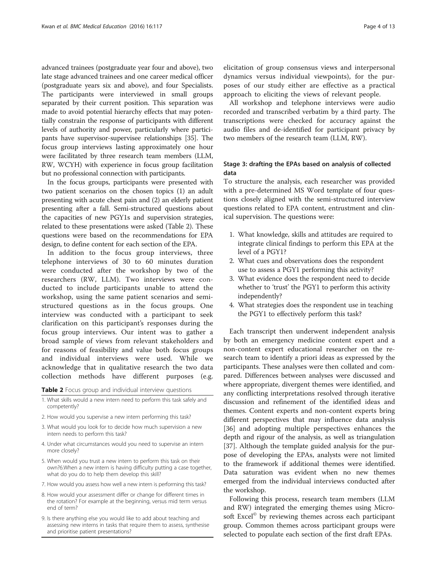advanced trainees (postgraduate year four and above), two late stage advanced trainees and one career medical officer (postgraduate years six and above), and four Specialists. The participants were interviewed in small groups separated by their current position. This separation was made to avoid potential hierarchy effects that may potentially constrain the response of participants with different levels of authority and power, particularly where participants have supervisor-supervisee relationships [\[35\]](#page-12-0). The focus group interviews lasting approximately one hour were facilitated by three research team members (LLM, RW, WCYH) with experience in focus group facilitation but no professional connection with participants.

In the focus groups, participants were presented with two patient scenarios on the chosen topics (1) an adult presenting with acute chest pain and (2) an elderly patient presenting after a fall. Semi-structured questions about the capacities of new PGY1s and supervision strategies, related to these presentations were asked (Table 2). These questions were based on the recommendations for EPA design, to define content for each section of the EPA.

In addition to the focus group interviews, three telephone interviews of 30 to 60 minutes duration were conducted after the workshop by two of the researchers (RW, LLM). Two interviews were conducted to include participants unable to attend the workshop, using the same patient scenarios and semistructured questions as in the focus groups. One interview was conducted with a participant to seek clarification on this participant's responses during the focus group interviews. Our intent was to gather a broad sample of views from relevant stakeholders and for reasons of feasibility and value both focus groups and individual interviews were used. While we acknowledge that in qualitative research the two data collection methods have different purposes (e.g.

Table 2 Focus group and individual interview questions

- 1. What skills would a new intern need to perform this task safely and competently?
- 2. How would you supervise a new intern performing this task?
- 3. What would you look for to decide how much supervision a new intern needs to perform this task?
- 4. Under what circumstances would you need to supervise an intern more closely?
- 5. When would you trust a new intern to perform this task on their own?6.When a new intern is having difficulty putting a case together, what do you do to help them develop this skill?
- 7. How would you assess how well a new intern is performing this task?
- 8. How would your assessment differ or change for different times in the rotation? For example at the beginning, versus mid term versus end of term?
- 9. Is there anything else you would like to add about teaching and assessing new interns in tasks that require them to assess, synthesise and prioritise patient presentations?

elicitation of group consensus views and interpersonal dynamics versus individual viewpoints), for the purposes of our study either are effective as a practical approach to eliciting the views of relevant people.

All workshop and telephone interviews were audio recorded and transcribed verbatim by a third party. The transcriptions were checked for accuracy against the audio files and de-identified for participant privacy by two members of the research team (LLM, RW).

# Stage 3: drafting the EPAs based on analysis of collected data

To structure the analysis, each researcher was provided with a pre-determined MS Word template of four questions closely aligned with the semi-structured interview questions related to EPA content, entrustment and clinical supervision. The questions were:

- 1. What knowledge, skills and attitudes are required to integrate clinical findings to perform this EPA at the level of a PGY1?
- 2. What cues and observations does the respondent use to assess a PGY1 performing this activity?
- 3. What evidence does the respondent need to decide whether to 'trust' the PGY1 to perform this activity independently?
- 4. What strategies does the respondent use in teaching the PGY1 to effectively perform this task?

Each transcript then underwent independent analysis by both an emergency medicine content expert and a non-content expert educational researcher on the research team to identify a priori ideas as expressed by the participants. These analyses were then collated and compared. Differences between analyses were discussed and where appropriate, divergent themes were identified, and any conflicting interpretations resolved through iterative discussion and refinement of the identified ideas and themes. Content experts and non-content experts bring different perspectives that may influence data analysis [[36\]](#page-12-0) and adopting multiple perspectives enhances the depth and rigour of the analysis, as well as triangulation [[37\]](#page-12-0). Although the template guided analysis for the purpose of developing the EPAs, analysts were not limited to the framework if additional themes were identified. Data saturation was evident when no new themes emerged from the individual interviews conducted after the workshop.

Following this process, research team members (LLM and RW) integrated the emerging themes using Microsoft Excel<sup>®</sup> by reviewing themes across each participant group. Common themes across participant groups were selected to populate each section of the first draft EPAs.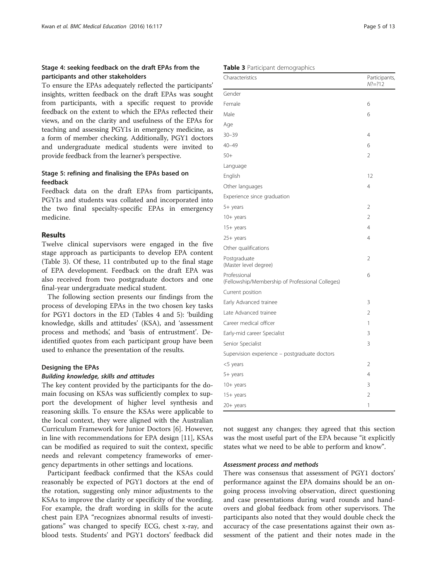# Stage 4: seeking feedback on the draft EPAs from the participants and other stakeholders

To ensure the EPAs adequately reflected the participants' insights, written feedback on the draft EPAs was sought from participants, with a specific request to provide feedback on the extent to which the EPAs reflected their views, and on the clarity and usefulness of the EPAs for teaching and assessing PGY1s in emergency medicine, as a form of member checking. Additionally, PGY1 doctors and undergraduate medical students were invited to provide feedback from the learner's perspective.

# Stage 5: refining and finalising the EPAs based on feedback

Feedback data on the draft EPAs from participants, PGY1s and students was collated and incorporated into the two final specialty-specific EPAs in emergency medicine.

# Results

Twelve clinical supervisors were engaged in the five stage approach as participants to develop EPA content (Table 3). Of these, 11 contributed up to the final stage of EPA development. Feedback on the draft EPA was also received from two postgraduate doctors and one final-year undergraduate medical student.

The following section presents our findings from the process of developing EPAs in the two chosen key tasks for PGY1 doctors in the ED (Tables [4](#page-5-0) and [5\)](#page-7-0): 'building knowledge, skills and attitudes' (KSA), and 'assessment process and methods', and 'basis of entrustment'. Deidentified quotes from each participant group have been used to enhance the presentation of the results.

### Designing the EPAs

### Building knowledge, skills and attitudes

The key content provided by the participants for the domain focusing on KSAs was sufficiently complex to support the development of higher level synthesis and reasoning skills. To ensure the KSAs were applicable to the local context, they were aligned with the Australian Curriculum Framework for Junior Doctors [\[6\]](#page-11-0). However, in line with recommendations for EPA design [\[11\]](#page-11-0), KSAs can be modified as required to suit the context, specific needs and relevant competency frameworks of emergency departments in other settings and locations.

Participant feedback confirmed that the KSAs could reasonably be expected of PGY1 doctors at the end of the rotation, suggesting only minor adjustments to the KSAs to improve the clarity or specificity of the wording. For example, the draft wording in skills for the acute chest pain EPA "recognizes abnormal results of investigations" was changed to specify ECG, chest x-ray, and blood tests. Students' and PGY1 doctors' feedback did

|                                                                  | $N? = ?12$     |
|------------------------------------------------------------------|----------------|
| Gender                                                           |                |
| Female                                                           | 6              |
| Male                                                             | 6              |
| Age                                                              |                |
| $30 - 39$                                                        | 4              |
| $40 - 49$                                                        | 6              |
| $50+$                                                            | $\overline{2}$ |
| Language                                                         |                |
| English                                                          | 12             |
| Other languages                                                  | 4              |
| Experience since graduation                                      |                |
| 5+ years                                                         | 2              |
| 10+ years                                                        | $\overline{2}$ |
| $15+$ years                                                      | 4              |
| $25+$ years                                                      | 4              |
| Other qualifications                                             |                |
| Postgraduate<br>(Master level degree)                            | $\overline{2}$ |
| Professional<br>(Fellowship/Membership of Professional Colleges) | 6              |
| Current position                                                 |                |
| Early Advanced trainee                                           | 3              |
| Late Advanced trainee                                            | $\overline{2}$ |
| Career medical officer                                           | 1              |
| Early-mid career Specialist                                      | 3              |
| Senior Specialist                                                | 3              |
| Supervision experience - postgraduate doctors                    |                |
| <5 years                                                         | $\overline{2}$ |
| 5+ years                                                         | 4              |
| 10+ years                                                        | 3              |
| $15+$ years                                                      | $\overline{2}$ |
| 20+ years                                                        | 1              |

Characteristics **Participants**, **Participants**,

not suggest any changes; they agreed that this section was the most useful part of the EPA because "it explicitly states what we need to be able to perform and know".

# Assessment process and methods

There was consensus that assessment of PGY1 doctors' performance against the EPA domains should be an ongoing process involving observation, direct questioning and case presentations during ward rounds and handovers and global feedback from other supervisors. The participants also noted that they would double check the accuracy of the case presentations against their own assessment of the patient and their notes made in the

### Table 3 Participant demographics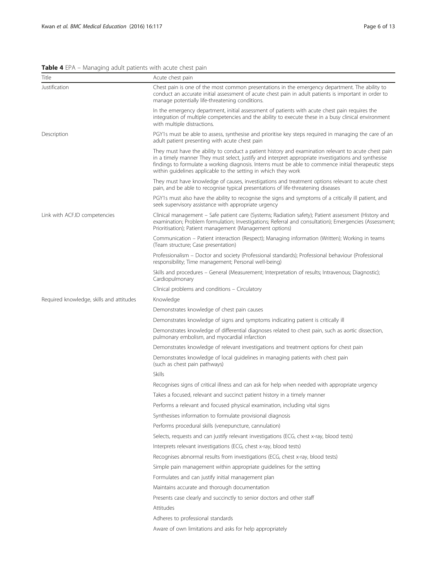# <span id="page-5-0"></span>Table 4 EPA - Managing adult patients with acute chest pain

| Title                                    | Acute chest pain                                                                                                                                                                                                                                                                                                                                                                        |
|------------------------------------------|-----------------------------------------------------------------------------------------------------------------------------------------------------------------------------------------------------------------------------------------------------------------------------------------------------------------------------------------------------------------------------------------|
| Justification                            | Chest pain is one of the most common presentations in the emergency department. The ability to<br>conduct an accurate initial assessment of acute chest pain in adult patients is important in order to<br>manage potentially life-threatening conditions.                                                                                                                              |
|                                          | In the emergency department, initial assessment of patients with acute chest pain requires the<br>integration of multiple competencies and the ability to execute these in a busy clinical environment<br>with multiple distractions.                                                                                                                                                   |
| Description                              | PGY1s must be able to assess, synthesise and prioritise key steps required in managing the care of an<br>adult patient presenting with acute chest pain                                                                                                                                                                                                                                 |
|                                          | They must have the ability to conduct a patient history and examination relevant to acute chest pain<br>in a timely manner They must select, justify and interpret appropriate investigations and synthesise<br>findings to formulate a working diagnosis. Interns must be able to commence initial therapeutic steps<br>within quidelines applicable to the setting in which they work |
|                                          | They must have knowledge of causes, investigations and treatment options relevant to acute chest<br>pain, and be able to recognise typical presentations of life-threatening diseases                                                                                                                                                                                                   |
|                                          | PGY1s must also have the ability to recognise the signs and symptoms of a critically ill patient, and<br>seek supervisory assistance with appropriate urgency                                                                                                                                                                                                                           |
| Link with ACFJD competencies             | Clinical management – Safe patient care (Systems; Radiation safety); Patient assessment (History and<br>examination; Problem formulation; Investigations; Referral and consultation); Emergencies (Assessment;<br>Prioritisation); Patient management (Management options)                                                                                                              |
|                                          | Communication - Patient interaction (Respect); Managing information (Written); Working in teams<br>(Team structure; Case presentation)                                                                                                                                                                                                                                                  |
|                                          | Professionalism - Doctor and society (Professional standards); Professional behaviour (Professional<br>responsibility; Time management; Personal well-being)                                                                                                                                                                                                                            |
|                                          | Skills and procedures – General (Measurement; Interpretation of results; Intravenous; Diagnostic);<br>Cardiopulmonary                                                                                                                                                                                                                                                                   |
|                                          | Clinical problems and conditions - Circulatory                                                                                                                                                                                                                                                                                                                                          |
| Required knowledge, skills and attitudes | Knowledge                                                                                                                                                                                                                                                                                                                                                                               |
|                                          | Demonstrates knowledge of chest pain causes                                                                                                                                                                                                                                                                                                                                             |
|                                          | Demonstrates knowledge of signs and symptoms indicating patient is critically ill                                                                                                                                                                                                                                                                                                       |
|                                          | Demonstrates knowledge of differential diagnoses related to chest pain, such as aortic dissection,<br>pulmonary embolism, and myocardial infarction                                                                                                                                                                                                                                     |
|                                          | Demonstrates knowledge of relevant investigations and treatment options for chest pain                                                                                                                                                                                                                                                                                                  |
|                                          | Demonstrates knowledge of local guidelines in managing patients with chest pain<br>(such as chest pain pathways)                                                                                                                                                                                                                                                                        |
|                                          | <b>Skills</b>                                                                                                                                                                                                                                                                                                                                                                           |
|                                          | Recognises signs of critical illness and can ask for help when needed with appropriate urgency                                                                                                                                                                                                                                                                                          |
|                                          | Takes a focused, relevant and succinct patient history in a timely manner                                                                                                                                                                                                                                                                                                               |
|                                          | Performs a relevant and focused physical examination, including vital signs                                                                                                                                                                                                                                                                                                             |
|                                          | Synthesises information to formulate provisional diagnosis                                                                                                                                                                                                                                                                                                                              |
|                                          | Performs procedural skills (venepuncture, cannulation)                                                                                                                                                                                                                                                                                                                                  |
|                                          | Selects, requests and can justify relevant investigations (ECG, chest x-ray, blood tests)                                                                                                                                                                                                                                                                                               |
|                                          | Interprets relevant investigations (ECG, chest x-ray, blood tests)                                                                                                                                                                                                                                                                                                                      |
|                                          | Recognises abnormal results from investigations (ECG, chest x-ray, blood tests)                                                                                                                                                                                                                                                                                                         |
|                                          | Simple pain management within appropriate guidelines for the setting                                                                                                                                                                                                                                                                                                                    |
|                                          | Formulates and can justify initial management plan                                                                                                                                                                                                                                                                                                                                      |
|                                          | Maintains accurate and thorough documentation                                                                                                                                                                                                                                                                                                                                           |
|                                          | Presents case clearly and succinctly to senior doctors and other staff                                                                                                                                                                                                                                                                                                                  |
|                                          | Attitudes                                                                                                                                                                                                                                                                                                                                                                               |
|                                          | Adheres to professional standards                                                                                                                                                                                                                                                                                                                                                       |
|                                          | Aware of own limitations and asks for help appropriately                                                                                                                                                                                                                                                                                                                                |
|                                          |                                                                                                                                                                                                                                                                                                                                                                                         |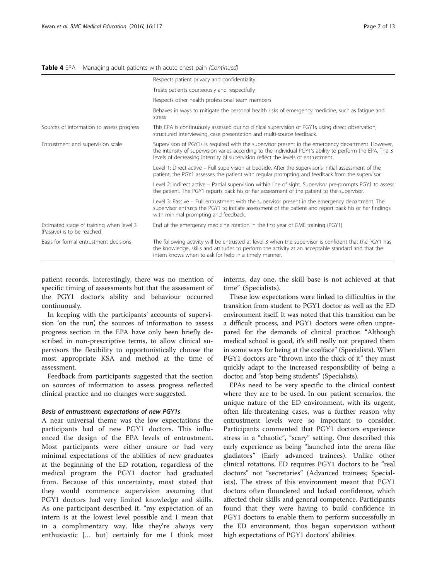### Table 4 EPA – Managing adult patients with acute chest pain (Continued)

|                                                                        | Respects patient privacy and confidentiality                                                                                                                                                                                                                                                       |
|------------------------------------------------------------------------|----------------------------------------------------------------------------------------------------------------------------------------------------------------------------------------------------------------------------------------------------------------------------------------------------|
|                                                                        | Treats patients courteously and respectfully                                                                                                                                                                                                                                                       |
|                                                                        | Respects other health professional team members                                                                                                                                                                                                                                                    |
|                                                                        | Behaves in ways to mitigate the personal health risks of emergency medicine, such as fatigue and<br>stress                                                                                                                                                                                         |
| Sources of information to assess progress                              | This EPA is continuously assessed during clinical supervision of PGY1s using direct observation,<br>structured interviewing, case presentation and multi-source feedback.                                                                                                                          |
| Entrustment and supervision scale                                      | Supervision of PGY1s is required with the supervisor present in the emergency department. However,<br>the intensity of supervision varies according to the individual PGY1's ability to perform the EPA. The 3<br>levels of decreasing intensity of supervision reflect the levels of entrustment. |
|                                                                        | Level 1: Direct active – Full supervision at bedside. After the supervisor's initial assessment of the<br>patient, the PGY1 assesses the patient with regular prompting and feedback from the supervisor.                                                                                          |
|                                                                        | Level 2: Indirect active - Partial supervision within line of sight. Supervisor pre-prompts PGY1 to assess<br>the patient. The PGY1 reports back his or her assessment of the patient to the supervisor.                                                                                           |
|                                                                        | Level 3: Passive – Full entrustment with the supervisor present in the emergency department. The<br>supervisor entrusts the PGY1 to initiate assessment of the patient and report back his or her findings<br>with minimal prompting and feedback.                                                 |
| Estimated stage of training when level 3<br>(Passive) is to be reached | End of the emergency medicine rotation in the first year of GME training (PGY1)                                                                                                                                                                                                                    |
| Basis for formal entrustment decisions                                 | The following activity will be entrusted at level 3 when the supervisor is confident that the PGY1 has<br>the knowledge, skills and attitudes to perform the activity at an acceptable standard and that the<br>intern knows when to ask for help in a timely manner.                              |

patient records. Interestingly, there was no mention of specific timing of assessments but that the assessment of the PGY1 doctor's ability and behaviour occurred continuously.

In keeping with the participants' accounts of supervision 'on the run', the sources of information to assess progress section in the EPA have only been briefly described in non-prescriptive terms, to allow clinical supervisors the flexibility to opportunistically choose the most appropriate KSA and method at the time of assessment.

Feedback from participants suggested that the section on sources of information to assess progress reflected clinical practice and no changes were suggested.

### Basis of entrustment: expectations of new PGY1s

A near universal theme was the low expectations the participants had of new PGY1 doctors. This influenced the design of the EPA levels of entrustment. Most participants were either unsure or had very minimal expectations of the abilities of new graduates at the beginning of the ED rotation, regardless of the medical program the PGY1 doctor had graduated from. Because of this uncertainty, most stated that they would commence supervision assuming that PGY1 doctors had very limited knowledge and skills. As one participant described it, "my expectation of an intern is at the lowest level possible and I mean that in a complimentary way, like they're always very enthusiastic [… but] certainly for me I think most interns, day one, the skill base is not achieved at that time" (Specialists).

These low expectations were linked to difficulties in the transition from student to PGY1 doctor as well as the ED environment itself. It was noted that this transition can be a difficult process, and PGY1 doctors were often unprepared for the demands of clinical practice: "Although medical school is good, it's still really not prepared them in some ways for being at the coalface" (Specialists). When PGY1 doctors are "thrown into the thick of it" they must quickly adapt to the increased responsibility of being a doctor, and "stop being students" (Specialists).

EPAs need to be very specific to the clinical context where they are to be used. In our patient scenarios, the unique nature of the ED environment, with its urgent, often life-threatening cases, was a further reason why entrustment levels were so important to consider. Participants commented that PGY1 doctors experience stress in a "chaotic", "scary" setting. One described this early experience as being "launched into the arena like gladiators" (Early advanced trainees). Unlike other clinical rotations, ED requires PGY1 doctors to be "real doctors" not "secretaries" (Advanced trainees; Specialists). The stress of this environment meant that PGY1 doctors often floundered and lacked confidence, which affected their skills and general competence. Participants found that they were having to build confidence in PGY1 doctors to enable them to perform successfully in the ED environment, thus began supervision without high expectations of PGY1 doctors' abilities.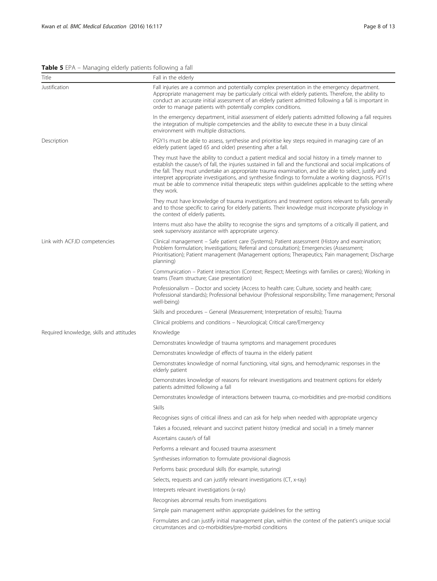# <span id="page-7-0"></span>Table 5 EPA - Managing elderly patients following a fall

| Title                                    | Fall in the elderly                                                                                                                                                                                                                                                                                                                                                                                                                                                                                                                                   |
|------------------------------------------|-------------------------------------------------------------------------------------------------------------------------------------------------------------------------------------------------------------------------------------------------------------------------------------------------------------------------------------------------------------------------------------------------------------------------------------------------------------------------------------------------------------------------------------------------------|
| Justification                            | Fall injuries are a common and potentially complex presentation in the emergency department.<br>Appropriate management may be particularly critical with elderly patients. Therefore, the ability to<br>conduct an accurate initial assessment of an elderly patient admitted following a fall is important in<br>order to manage patients with potentially complex conditions.                                                                                                                                                                       |
|                                          | In the emergency department, initial assessment of elderly patients admitted following a fall requires<br>the integration of multiple competencies and the ability to execute these in a busy clinical<br>environment with multiple distractions.                                                                                                                                                                                                                                                                                                     |
| Description                              | PGY1s must be able to assess, synthesise and prioritise key steps required in managing care of an<br>elderly patient (aged 65 and older) presenting after a fall.                                                                                                                                                                                                                                                                                                                                                                                     |
|                                          | They must have the ability to conduct a patient medical and social history in a timely manner to<br>establish the cause/s of fall, the injuries sustained in fall and the functional and social implications of<br>the fall. They must undertake an appropriate trauma examination, and be able to select, justify and<br>interpret appropriate investigations, and synthesise findings to formulate a working diagnosis. PGY1s<br>must be able to commence initial therapeutic steps within guidelines applicable to the setting where<br>they work. |
|                                          | They must have knowledge of trauma investigations and treatment options relevant to falls generally<br>and to those specific to caring for elderly patients. Their knowledge must incorporate physiology in<br>the context of elderly patients.                                                                                                                                                                                                                                                                                                       |
|                                          | Interns must also have the ability to recognise the signs and symptoms of a critically ill patient, and<br>seek supervisory assistance with appropriate urgency.                                                                                                                                                                                                                                                                                                                                                                                      |
| Link with ACFJD competencies             | Clinical management – Safe patient care (Systems); Patient assessment (History and examination;<br>Problem formulation; Investigations; Referral and consultation); Emergencies (Assessment;<br>Prioritisation); Patient management (Management options; Therapeutics; Pain management; Discharge<br>planning)                                                                                                                                                                                                                                        |
|                                          | Communication – Patient interaction (Context; Respect; Meetings with families or carers); Working in<br>teams (Team structure: Case presentation)                                                                                                                                                                                                                                                                                                                                                                                                     |
|                                          | Professionalism - Doctor and society (Access to health care; Culture, society and health care;<br>Professional standards); Professional behaviour (Professional responsibility; Time management; Personal<br>well-being)                                                                                                                                                                                                                                                                                                                              |
|                                          | Skills and procedures – General (Measurement; Interpretation of results); Trauma                                                                                                                                                                                                                                                                                                                                                                                                                                                                      |
|                                          | Clinical problems and conditions - Neurological; Critical care/Emergency                                                                                                                                                                                                                                                                                                                                                                                                                                                                              |
| Required knowledge, skills and attitudes | Knowledge                                                                                                                                                                                                                                                                                                                                                                                                                                                                                                                                             |
|                                          | Demonstrates knowledge of trauma symptoms and management procedures                                                                                                                                                                                                                                                                                                                                                                                                                                                                                   |
|                                          | Demonstrates knowledge of effects of trauma in the elderly patient                                                                                                                                                                                                                                                                                                                                                                                                                                                                                    |
|                                          | Demonstrates knowledge of normal functioning, vital signs, and hemodynamic responses in the<br>elderly patient                                                                                                                                                                                                                                                                                                                                                                                                                                        |
|                                          | Demonstrates knowledge of reasons for relevant investigations and treatment options for elderly<br>patients admitted following a fall                                                                                                                                                                                                                                                                                                                                                                                                                 |
|                                          | Demonstrates knowledge of interactions between trauma, co-morbidities and pre-morbid conditions                                                                                                                                                                                                                                                                                                                                                                                                                                                       |
|                                          | <b>Skills</b>                                                                                                                                                                                                                                                                                                                                                                                                                                                                                                                                         |
|                                          | Recognises signs of critical illness and can ask for help when needed with appropriate urgency                                                                                                                                                                                                                                                                                                                                                                                                                                                        |
|                                          | Takes a focused, relevant and succinct patient history (medical and social) in a timely manner                                                                                                                                                                                                                                                                                                                                                                                                                                                        |
|                                          | Ascertains cause/s of fall                                                                                                                                                                                                                                                                                                                                                                                                                                                                                                                            |
|                                          | Performs a relevant and focused trauma assessment                                                                                                                                                                                                                                                                                                                                                                                                                                                                                                     |
|                                          | Synthesises information to formulate provisional diagnosis                                                                                                                                                                                                                                                                                                                                                                                                                                                                                            |
|                                          | Performs basic procedural skills (for example, suturing)                                                                                                                                                                                                                                                                                                                                                                                                                                                                                              |
|                                          | Selects, requests and can justify relevant investigations (CT, x-ray)                                                                                                                                                                                                                                                                                                                                                                                                                                                                                 |
|                                          | Interprets relevant investigations (x-ray)                                                                                                                                                                                                                                                                                                                                                                                                                                                                                                            |
|                                          | Recognises abnormal results from investigations                                                                                                                                                                                                                                                                                                                                                                                                                                                                                                       |
|                                          | Simple pain management within appropriate guidelines for the setting                                                                                                                                                                                                                                                                                                                                                                                                                                                                                  |
|                                          | Formulates and can justify initial management plan, within the context of the patient's unique social<br>circumstances and co-morbidities/pre-morbid conditions                                                                                                                                                                                                                                                                                                                                                                                       |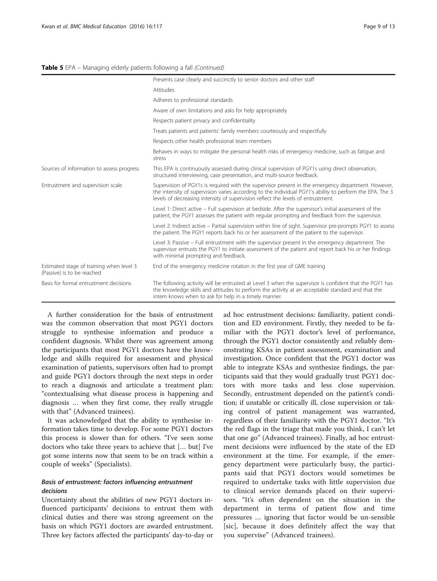### Table 5 EPA – Managing elderly patients following a fall (Continued)

|                                                                        | Presents case clearly and succinctly to senior doctors and other staff                                                                                                                                                                                                                             |
|------------------------------------------------------------------------|----------------------------------------------------------------------------------------------------------------------------------------------------------------------------------------------------------------------------------------------------------------------------------------------------|
|                                                                        | Attitudes                                                                                                                                                                                                                                                                                          |
|                                                                        | Adheres to professional standards                                                                                                                                                                                                                                                                  |
|                                                                        | Aware of own limitations and asks for help appropriately                                                                                                                                                                                                                                           |
|                                                                        | Respects patient privacy and confidentiality                                                                                                                                                                                                                                                       |
|                                                                        | Treats patients and patients' family members courteously and respectfully                                                                                                                                                                                                                          |
|                                                                        | Respects other health professional team members                                                                                                                                                                                                                                                    |
|                                                                        | Behaves in ways to mitigate the personal health risks of emergency medicine, such as fatigue and<br>stress                                                                                                                                                                                         |
| Sources of information to assess progress                              | This EPA is continuously assessed during clinical supervision of PGY1s using direct observation,<br>structured interviewing, case presentation, and multi-source feedback.                                                                                                                         |
| Entrustment and supervision scale                                      | Supervision of PGY1s is required with the supervisor present in the emergency department. However,<br>the intensity of supervision varies according to the individual PGY1's ability to perform the EPA. The 3<br>levels of decreasing intensity of supervision reflect the levels of entrustment. |
|                                                                        | Level 1: Direct active – Full supervision at bedside. After the supervisor's initial assessment of the<br>patient, the PGY1 assesses the patient with regular prompting and feedback from the supervisor.                                                                                          |
|                                                                        | Level 2: Indirect active - Partial supervision within line of sight. Supervisor pre-prompts PGY1 to assess<br>the patient. The PGY1 reports back his or her assessment of the patient to the supervisor.                                                                                           |
|                                                                        | Level 3: Passive – Full entrustment with the supervisor present in the emergency department. The<br>supervisor entrusts the PGY1 to initiate assessment of the patient and report back his or her findings<br>with minimal prompting and feedback.                                                 |
| Estimated stage of training when level 3<br>(Passive) is to be reached | End of the emergency medicine rotation in the first year of GME training                                                                                                                                                                                                                           |
| Basis for formal entrustment decisions                                 | The following activity will be entrusted at Level 3 when the supervisor is confident that the PGY1 has<br>the knowledge skills and attitudes to perform the activity at an acceptable standard and that the<br>intern knows when to ask for help in a timely manner.                               |

A further consideration for the basis of entrustment was the common observation that most PGY1 doctors struggle to synthesise information and produce a confident diagnosis. Whilst there was agreement among the participants that most PGY1 doctors have the knowledge and skills required for assessment and physical examination of patients, supervisors often had to prompt and guide PGY1 doctors through the next steps in order to reach a diagnosis and articulate a treatment plan: "contextualising what disease process is happening and diagnosis … when they first come, they really struggle with that" (Advanced trainees).

It was acknowledged that the ability to synthesise information takes time to develop. For some PGY1 doctors this process is slower than for others. "I've seen some doctors who take three years to achieve that [… but] I've got some interns now that seem to be on track within a couple of weeks" (Specialists).

# Basis of entrustment: factors influencing entrustment decisions

Uncertainty about the abilities of new PGY1 doctors influenced participants' decisions to entrust them with clinical duties and there was strong agreement on the basis on which PGY1 doctors are awarded entrustment. Three key factors affected the participants' day-to-day or ad hoc entrustment decisions: familiarity, patient condition and ED environment. Firstly, they needed to be familiar with the PGY1 doctor's level of performance, through the PGY1 doctor consistently and reliably demonstrating KSAs in patient assessment, examination and investigation. Once confident that the PGY1 doctor was able to integrate KSAs and synthesize findings, the participants said that they would gradually trust PGY1 doctors with more tasks and less close supervision. Secondly, entrustment depended on the patient's condition; if unstable or critically ill, close supervision or taking control of patient management was warranted, regardless of their familiarity with the PGY1 doctor. "It's the red flags in the triage that made you think, I can't let that one go" (Advanced trainees). Finally, ad hoc entrustment decisions were influenced by the state of the ED environment at the time. For example, if the emergency department were particularly busy, the participants said that PGY1 doctors would sometimes be required to undertake tasks with little supervision due to clinical service demands placed on their supervisors. "It's often dependent on the situation in the department in terms of patient flow and time pressures … ignoring that factor would be un-sensible [sic], because it does definitely affect the way that you supervise" (Advanced trainees).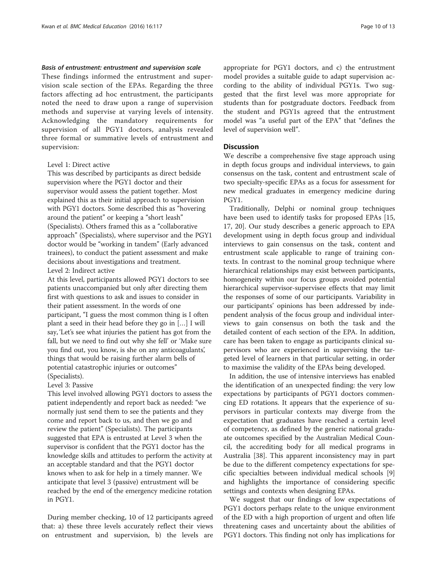# Basis of entrustment: entrustment and supervision scale

These findings informed the entrustment and supervision scale section of the EPAs. Regarding the three factors affecting ad hoc entrustment, the participants noted the need to draw upon a range of supervision methods and supervise at varying levels of intensity. Acknowledging the mandatory requirements for supervision of all PGY1 doctors, analysis revealed three formal or summative levels of entrustment and supervision:

# Level 1: Direct active

This was described by participants as direct bedside supervision where the PGY1 doctor and their supervisor would assess the patient together. Most explained this as their initial approach to supervision with PGY1 doctors. Some described this as "hovering around the patient" or keeping a "short leash" (Specialists). Others framed this as a "collaborative approach" (Specialists), where supervisor and the PGY1 doctor would be "working in tandem" (Early advanced trainees), to conduct the patient assessment and make decisions about investigations and treatment. Level 2: Indirect active

At this level, participants allowed PGY1 doctors to see patients unaccompanied but only after directing them first with questions to ask and issues to consider in their patient assessment. In the words of one participant, "I guess the most common thing is I often plant a seed in their head before they go in […] I will say, 'Let's see what injuries the patient has got from the fall, but we need to find out why she fell' or 'Make sure you find out, you know, is she on any anticoagulants', things that would be raising further alarm bells of potential catastrophic injuries or outcomes" (Specialists).

### Level 3: Passive

This level involved allowing PGY1 doctors to assess the patient independently and report back as needed: "we normally just send them to see the patients and they come and report back to us, and then we go and review the patient" (Specialists). The participants suggested that EPA is entrusted at Level 3 when the supervisor is confident that the PGY1 doctor has the knowledge skills and attitudes to perform the activity at an acceptable standard and that the PGY1 doctor knows when to ask for help in a timely manner. We anticipate that level 3 (passive) entrustment will be reached by the end of the emergency medicine rotation in PGY1.

During member checking, 10 of 12 participants agreed that: a) these three levels accurately reflect their views on entrustment and supervision, b) the levels are

appropriate for PGY1 doctors, and c) the entrustment model provides a suitable guide to adapt supervision according to the ability of individual PGY1s. Two suggested that the first level was more appropriate for students than for postgraduate doctors. Feedback from the student and PGY1s agreed that the entrustment model was "a useful part of the EPA" that "defines the level of supervision well".

# **Discussion**

We describe a comprehensive five stage approach using in depth focus groups and individual interviews, to gain consensus on the task, content and entrustment scale of two specialty-specific EPAs as a focus for assessment for new medical graduates in emergency medicine during PGY1.

Traditionally, Delphi or nominal group techniques have been used to identify tasks for proposed EPAs [[15](#page-11-0), [17, 20](#page-11-0)]. Our study describes a generic approach to EPA development using in depth focus group and individual interviews to gain consensus on the task, content and entrustment scale applicable to range of training contexts. In contrast to the nominal group technique where hierarchical relationships may exist between participants, homogeneity within our focus groups avoided potential hierarchical supervisor-supervisee effects that may limit the responses of some of our participants. Variability in our participants' opinions has been addressed by independent analysis of the focus group and individual interviews to gain consensus on both the task and the detailed content of each section of the EPA. In addition, care has been taken to engage as participants clinical supervisors who are experienced in supervising the targeted level of learners in that particular setting, in order to maximise the validity of the EPAs being developed.

In addition, the use of intensive interviews has enabled the identification of an unexpected finding: the very low expectations by participants of PGY1 doctors commencing ED rotations. It appears that the experience of supervisors in particular contexts may diverge from the expectation that graduates have reached a certain level of competency, as defined by the generic national graduate outcomes specified by the Australian Medical Council, the accrediting body for all medical programs in Australia [[38\]](#page-12-0). This apparent inconsistency may in part be due to the different competency expectations for specific specialties between individual medical schools [\[9](#page-11-0)] and highlights the importance of considering specific settings and contexts when designing EPAs.

We suggest that our findings of low expectations of PGY1 doctors perhaps relate to the unique environment of the ED with a high proportion of urgent and often life threatening cases and uncertainty about the abilities of PGY1 doctors. This finding not only has implications for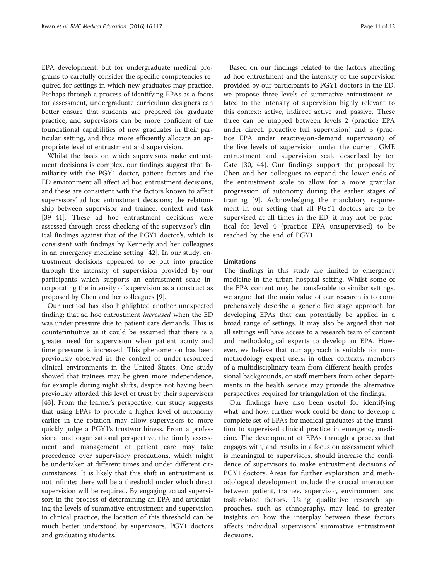EPA development, but for undergraduate medical programs to carefully consider the specific competencies required for settings in which new graduates may practice. Perhaps through a process of identifying EPAs as a focus for assessment, undergraduate curriculum designers can better ensure that students are prepared for graduate practice, and supervisors can be more confident of the foundational capabilities of new graduates in their particular setting, and thus more efficiently allocate an appropriate level of entrustment and supervision.

Whilst the basis on which supervisors make entrustment decisions is complex, our findings suggest that familiarity with the PGY1 doctor, patient factors and the ED environment all affect ad hoc entrustment decisions, and these are consistent with the factors known to affect supervisors' ad hoc entrustment decisions; the relationship between supervisor and trainee, context and task [[39](#page-12-0)–[41](#page-12-0)]. These ad hoc entrustment decisions were assessed through cross checking of the supervisor's clinical findings against that of the PGY1 doctor's, which is consistent with findings by Kennedy and her colleagues in an emergency medicine setting [\[42](#page-12-0)]. In our study, entrustment decisions appeared to be put into practice through the intensity of supervision provided by our participants which supports an entrustment scale incorporating the intensity of supervision as a construct as proposed by Chen and her colleagues [[9](#page-11-0)].

Our method has also highlighted another unexpected finding; that ad hoc entrustment increased when the ED was under pressure due to patient care demands. This is counterintuitive as it could be assumed that there is a greater need for supervision when patient acuity and time pressure is increased. This phenomenon has been previously observed in the context of under-resourced clinical environments in the United States. One study showed that trainees may be given more independence, for example during night shifts, despite not having been previously afforded this level of trust by their supervisors [[43\]](#page-12-0). From the learner's perspective, our study suggests that using EPAs to provide a higher level of autonomy earlier in the rotation may allow supervisors to more quickly judge a PGY1's trustworthiness. From a professional and organisational perspective, the timely assessment and management of patient care may take precedence over supervisory precautions, which might be undertaken at different times and under different circumstances. It is likely that this shift in entrustment is not infinite; there will be a threshold under which direct supervision will be required. By engaging actual supervisors in the process of determining an EPA and articulating the levels of summative entrustment and supervision in clinical practice, the location of this threshold can be much better understood by supervisors, PGY1 doctors and graduating students.

Based on our findings related to the factors affecting ad hoc entrustment and the intensity of the supervision provided by our participants to PGY1 doctors in the ED, we propose three levels of summative entrustment related to the intensity of supervision highly relevant to this context: active, indirect active and passive. These three can be mapped between levels 2 (practice EPA under direct, proactive full supervision) and 3 (practice EPA under reactive/on-demand supervision) of the five levels of supervision under the current GME entrustment and supervision scale described by ten Cate [\[30](#page-11-0), [44](#page-12-0)]. Our findings support the proposal by Chen and her colleagues to expand the lower ends of the entrustment scale to allow for a more granular progression of autonomy during the earlier stages of training [[9\]](#page-11-0). Acknowledging the mandatory requirement in our setting that all PGY1 doctors are to be supervised at all times in the ED, it may not be practical for level 4 (practice EPA unsupervised) to be reached by the end of PGY1.

### Limitations

The findings in this study are limited to emergency medicine in the urban hospital setting. Whilst some of the EPA content may be transferable to similar settings, we argue that the main value of our research is to comprehensively describe a generic five stage approach for developing EPAs that can potentially be applied in a broad range of settings. It may also be argued that not all settings will have access to a research team of content and methodological experts to develop an EPA. However, we believe that our approach is suitable for nonmethodology expert users; in other contexts, members of a multidisciplinary team from different health professional backgrounds, or staff members from other departments in the health service may provide the alternative perspectives required for triangulation of the findings.

Our findings have also been useful for identifying what, and how, further work could be done to develop a complete set of EPAs for medical graduates at the transition to supervised clinical practice in emergency medicine. The development of EPAs through a process that engages with, and results in a focus on assessment which is meaningful to supervisors, should increase the confidence of supervisors to make entrustment decisions of PGY1 doctors. Areas for further exploration and methodological development include the crucial interaction between patient, trainee, supervisor, environment and task-related factors. Using qualitative research approaches, such as ethnography, may lead to greater insights on how the interplay between these factors affects individual supervisors' summative entrustment decisions.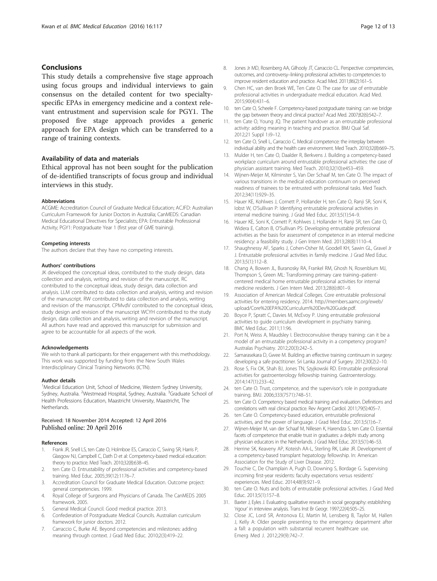# <span id="page-11-0"></span>Conclusions

This study details a comprehensive five stage approach using focus groups and individual interviews to gain consensus on the detailed content for two specialtyspecific EPAs in emergency medicine and a context relevant entrustment and supervision scale for PGY1. The proposed five stage approach provides a generic approach for EPA design which can be transferred to a range of training contexts.

### Availability of data and materials

Ethical approval has not been sought for the publication of de-identified transcripts of focus group and individual interviews in this study.

### Abbreviations

ACGME: Accreditation Council of Graduate Medical Education; ACJFD: Australian Curriculum Framework for Junior Doctors in Australia; CanMEDS: Canadian Medical Educational Directives for Specialists; EPA: Entrustable Professional Activity; PGY1: Postgraduate Year 1 (first year of GME training).

### Competing interests

The authors declare that they have no competing interests.

#### Authors' contributions

JK developed the conceptual ideas, contributed to the study design, data collection and analysis, writing and revision of the manuscript. RC contributed to the conceptual ideas, study design, data collection and analysis. LLM contributed to data collection and analysis, writing and revision of the manuscript. RW contributed to data collection and analysis, writing and revision of the manuscript. CPMvdV contributed to the conceptual ideas, study design and revision of the manuscript WCYH contributed to the study design, data collection and analysis, writing and revision of the manuscript. All authors have read and approved this manuscript for submission and agree to be accountable for all aspects of the work.

### Acknowledgements

We wish to thank all participants for their engagement with this methodology. This work was supported by funding from the New South Wales Interdisciplinary Clinical Training Networks (ICTN).

#### Author details

<sup>1</sup>Medical Education Unit, School of Medicine, Western Sydney University, Sydney, Australia. <sup>2</sup>Westmead Hospital, Sydney, Australia. <sup>3</sup>Graduate School of Health Professions Education, Maastricht University, Maastricht, The **Netherlands** 

### Received: 18 November 2014 Accepted: 12 April 2016 Published online: 20 April 2016

#### References

- 1. Frank JR, Snell LS, ten Cate O, Holmboe ES, Carraccio C, Swing SR, Harris P, Glasgow NJ, Campbell C, Dath D et al: Competency-based medical education: theory to practice. Med Teach. 2010;32(8):638–45.
- 2. ten Cate O. Entrustability of professional activities and competency-based training. Med Educ. 2005;39(12):1176–7.
- 3. Accreditation Council for Graduate Medical Education. Outcome project: general competencies. 1999.
- 4. Royal College of Surgeons and Physicians of Canada. The CanMEDS 2005 framework. 2005.
- 5. General Medical Council. Good medical practice. 2013.
- 6. Confederation of Postgraduate Medical Councils. Australian curriculum framework for junior doctors. 2012.
- 7. Carraccio C, Burke AE. Beyond competencies and milestones: adding meaning through context. J Grad Med Educ. 2010;2(3):419–22.
- 8. Jones Jr MD, Rosenberg AA, Gilhooly JT, Carraccio CL. Perspective: competencies, outcomes, and controversy–linking professional activities to competencies to improve resident education and practice. Acad Med. 2011;86(2):161–5.
- 9. Chen HC, van den Broek WE, Ten Cate O. The case for use of entrustable professional activities in undergraduate medical education. Acad Med. 2015;90(4):431–6.
- 10. ten Cate O, Scheele F. Competency-based postgraduate training: can we bridge the gap between theory and clinical practice? Acad Med. 2007;82(6):542–7.
- 11. ten Cate O, Young JQ. The patient handover as an entrustable professional activity: adding meaning in teaching and practice. BMJ Qual Saf. 2012;21 Suppl 1:i9–12.
- 12. ten Cate O, Snell L, Carraccio C, Medical competence: the interplay between individual ability and the health care environment. Med Teach. 2010;32(8):669–75.
- 13. Mulder H, ten Cate O, Daalder R, Berkvens J. Building a competency-based workplace curriculum around entrustable professional activities: the case of physician assistant training. Med Teach. 2010;32(10):e453–459.
- 14. Wijnen-Meijer M, Kilminster S, Van Der Schaaf M, ten Cate O. The impact of various transitions in the medical education continuum on perceived readiness of trainees to be entrusted with professional tasks. Med Teach. 2012;34(11):929–35.
- 15. Hauer KE, Kohlwes J, Cornett P, Hollander H, ten Cate O, Ranji SR, Soni K, Iobst W, O'Sullivan P: Identifying entrustable professional activities in internal medicine training. J Grad Med Educ. 2013;5(1):54–9.
- 16. Hauer KE, Soni K, Cornett P, Kohlwes J, Hollander H, Ranji SR, ten Cate O, Widera E, Calton B, O'Sullivan PS: Developing entrustable professional activities as the basis for assessment of competence in an internal medicine residency: a feasibility study. J Gen Intern Med. 2013;28(8):1110–4.
- 17. Shaughnessy AF, Sparks J, Cohen-Osher M, Goodell KH, Sawin GL, Gravel Jr J. Entrustable professional activities in family medicine. J Grad Med Educ. 2013;5(1):112–8.
- 18. Chang A, Bowen JL, Buranosky RA, Frankel RM, Ghosh N, Rosenblum MJ, Thompson S, Green ML: Transforming primary care training–patientcentered medical home entrustable professional activities for internal medicine residents. J Gen Intern Med. 2013;28(6):801–9.
- 19. Association of American Medical Colleges. Core entrustable professional activities for entering residency. 2014. [http://members.aamc.org/eweb/](http://members.aamc.org/eweb/upload/Core%20EPA%20Curriculum%20Dev%20Guide.pdf) [upload/Core%20EPA%20Curriculum%20Dev%20Guide.pdf](http://members.aamc.org/eweb/upload/Core%20EPA%20Curriculum%20Dev%20Guide.pdf).
- 20. Boyce P, Spratt C, Davies M, McEvoy P. Using entrustable professional activities to guide curriculum development in psychiatry training. BMC Med Educ. 2011;11:96.
- 21. Port N, Weiss A, Maudsley I. Electroconvulsive therapy training: can it be a model of an entrustable professional activity in a competency program? Australas Psychiatry. 2012;20(3):242–5.
- 22. Samarasekara D, Gwee M. Building an effective training continuum in surgery: developing a safe practitioner. Sri Lanka Journal of Surgery. 2012;30(2):2–10.
- 23. Rose S, Fix OK, Shah BJ, Jones TN, Szyjkowski RD. Entrustable professional activities for gastroenterology fellowship training. Gastroenterology. 2014;147(1):233–42.
- 24. ten Cate O. Trust, competence, and the supervisor's role in postgraduate training. BMJ. 2006;333(7571):748–51.
- 25. ten Cate O. Competency based medical training and evaluation. Definitions and correlations with real clinical practice. Rev Argent Cardiol. 2011;79(5):405–7.
- 26. ten Cate O. Competency-based education, entrustable professional activities, and the power of language. J Grad Med Educ. 2013;5(1):6–7.
- 27. Wijnen-Meijer M, van der Schaaf M, Nillesen K, Harendza S, ten Cate O. Essential facets of competence that enable trust in graduates: a delphi study among physician educators in the Netherlands. J Grad Med Educ. 2013;5(1):46–53.
- 28. Herrine SK, Keaveny AP, Koteish AA-L, Sterling RK, Lake JR. Development of a competency-based transplant hepatology fellowship. In: American Association for the Study of Liver Disease. 2012.
- 29. Touchie C, De Champlain A, Pugh D, Downing S, Bordage G. Supervising incoming first-year residents: faculty expectations versus residents' experiences. Med Educ. 2014;48(9):921–9.
- 30. ten Cate O. Nuts and bolts of entrustable professional activities. J Grad Med Educ. 2013;5(1):157–8.
- 31. Baxter J, Eyles J. Evaluating qualitative research in social geography: establishing 'rigour' in interview analysis. Trans Inst Br Geogr. 1997;22(4):505–25.
- 32. Close JC, Lord SR, Antonova EJ, Martin M, Lensberg B, Taylor M, Hallen J, Kelly A: Older people presenting to the emergency department after a fall: a population with substantial recurrent healthcare use. Emerg Med J. 2012;29(9):742–7.